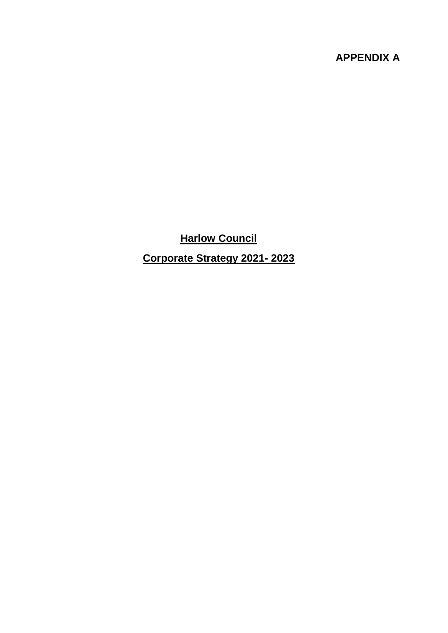# **APPENDIX A**

**Harlow Council Corporate Strategy 2021- 2023**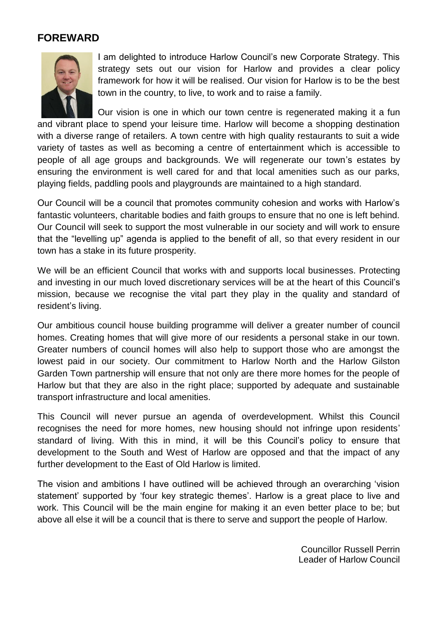# **FOREWARD**



I am delighted to introduce Harlow Council's new Corporate Strategy. This strategy sets out our vision for Harlow and provides a clear policy framework for how it will be realised. Our vision for Harlow is to be the best town in the country, to live, to work and to raise a family.

Our vision is one in which our town centre is regenerated making it a fun and vibrant place to spend your leisure time. Harlow will become a shopping destination with a diverse range of retailers. A town centre with high quality restaurants to suit a wide variety of tastes as well as becoming a centre of entertainment which is accessible to people of all age groups and backgrounds. We will regenerate our town's estates by ensuring the environment is well cared for and that local amenities such as our parks, playing fields, paddling pools and playgrounds are maintained to a high standard.

Our Council will be a council that promotes community cohesion and works with Harlow's fantastic volunteers, charitable bodies and faith groups to ensure that no one is left behind. Our Council will seek to support the most vulnerable in our society and will work to ensure that the "levelling up" agenda is applied to the benefit of all, so that every resident in our town has a stake in its future prosperity.

We will be an efficient Council that works with and supports local businesses. Protecting and investing in our much loved discretionary services will be at the heart of this Council's mission, because we recognise the vital part they play in the quality and standard of resident's living.

Our ambitious council house building programme will deliver a greater number of council homes. Creating homes that will give more of our residents a personal stake in our town. Greater numbers of council homes will also help to support those who are amongst the lowest paid in our society. Our commitment to Harlow North and the Harlow Gilston Garden Town partnership will ensure that not only are there more homes for the people of Harlow but that they are also in the right place; supported by adequate and sustainable transport infrastructure and local amenities.

This Council will never pursue an agenda of overdevelopment. Whilst this Council recognises the need for more homes, new housing should not infringe upon residents' standard of living. With this in mind, it will be this Council's policy to ensure that development to the South and West of Harlow are opposed and that the impact of any further development to the East of Old Harlow is limited.

The vision and ambitions I have outlined will be achieved through an overarching 'vision statement' supported by 'four key strategic themes'. Harlow is a great place to live and work. This Council will be the main engine for making it an even better place to be; but above all else it will be a council that is there to serve and support the people of Harlow.

> Councillor Russell Perrin Leader of Harlow Council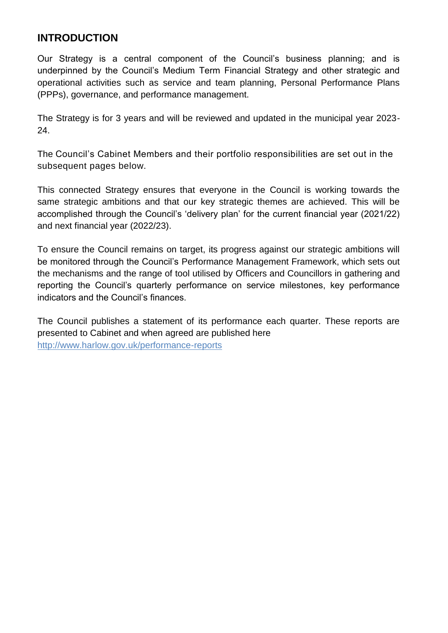## **INTRODUCTION**

Our Strategy is a central component of the Council's business planning; and is underpinned by the Council's Medium Term Financial Strategy and other strategic and operational activities such as service and team planning, Personal Performance Plans (PPPs), governance, and performance management.

The Strategy is for 3 years and will be reviewed and updated in the municipal year 2023- 24.

The Council's Cabinet Members and their portfolio responsibilities are set out in the subsequent pages below.

This connected Strategy ensures that everyone in the Council is working towards the same strategic ambitions and that our key strategic themes are achieved. This will be accomplished through the Council's 'delivery plan' for the current financial year (2021/22) and next financial year (2022/23).

To ensure the Council remains on target, its progress against our strategic ambitions will be monitored through the Council's Performance Management Framework, which sets out the mechanisms and the range of tool utilised by Officers and Councillors in gathering and reporting the Council's quarterly performance on service milestones, key performance indicators and the Council's finances.

The Council publishes a statement of its performance each quarter. These reports are presented to Cabinet and when agreed are published here <http://www.harlow.gov.uk/performance-reports>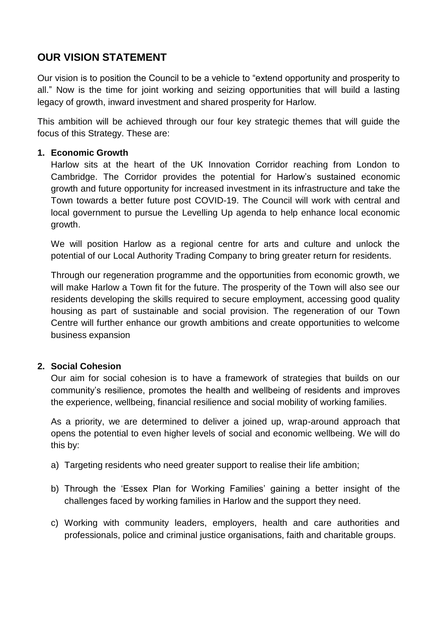# **OUR VISION STATEMENT**

Our vision is to position the Council to be a vehicle to "extend opportunity and prosperity to all." Now is the time for joint working and seizing opportunities that will build a lasting legacy of growth, inward investment and shared prosperity for Harlow.

This ambition will be achieved through our four key strategic themes that will guide the focus of this Strategy. These are:

#### **1. Economic Growth**

Harlow sits at the heart of the UK Innovation Corridor reaching from London to Cambridge. The Corridor provides the potential for Harlow's sustained economic growth and future opportunity for increased investment in its infrastructure and take the Town towards a better future post COVID-19. The Council will work with central and local government to pursue the Levelling Up agenda to help enhance local economic growth.

We will position Harlow as a regional centre for arts and culture and unlock the potential of our Local Authority Trading Company to bring greater return for residents.

Through our regeneration programme and the opportunities from economic growth, we will make Harlow a Town fit for the future. The prosperity of the Town will also see our residents developing the skills required to secure employment, accessing good quality housing as part of sustainable and social provision. The regeneration of our Town Centre will further enhance our growth ambitions and create opportunities to welcome business expansion

## **2. Social Cohesion**

Our aim for social cohesion is to have a framework of strategies that builds on our community's resilience, promotes the health and wellbeing of residents and improves the experience, wellbeing, financial resilience and social mobility of working families.

As a priority, we are determined to deliver a joined up, wrap-around approach that opens the potential to even higher levels of social and economic wellbeing. We will do this by:

- a) Targeting residents who need greater support to realise their life ambition:
- b) Through the 'Essex Plan for Working Families' gaining a better insight of the challenges faced by working families in Harlow and the support they need.
- c) Working with community leaders, employers, health and care authorities and professionals, police and criminal justice organisations, faith and charitable groups.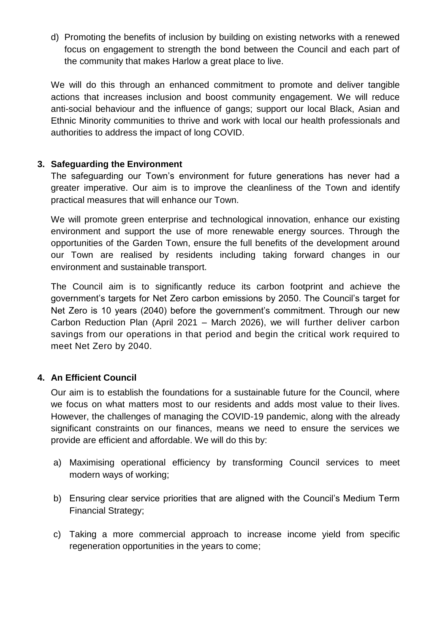d) Promoting the benefits of inclusion by building on existing networks with a renewed focus on engagement to strength the bond between the Council and each part of the community that makes Harlow a great place to live.

We will do this through an enhanced commitment to promote and deliver tangible actions that increases inclusion and boost community engagement. We will reduce anti-social behaviour and the influence of gangs; support our local Black, Asian and Ethnic Minority communities to thrive and work with local our health professionals and authorities to address the impact of long COVID.

## **3. Safeguarding the Environment**

The safeguarding our Town's environment for future generations has never had a greater imperative. Our aim is to improve the cleanliness of the Town and identify practical measures that will enhance our Town.

We will promote green enterprise and technological innovation, enhance our existing environment and support the use of more renewable energy sources. Through the opportunities of the Garden Town, ensure the full benefits of the development around our Town are realised by residents including taking forward changes in our environment and sustainable transport.

The Council aim is to significantly reduce its carbon footprint and achieve the government's targets for Net Zero carbon emissions by 2050. The Council's target for Net Zero is 10 years (2040) before the government's commitment. Through our new Carbon Reduction Plan (April 2021 – March 2026), we will further deliver carbon savings from our operations in that period and begin the critical work required to meet Net Zero by 2040.

## **4. An Efficient Council**

Our aim is to establish the foundations for a sustainable future for the Council, where we focus on what matters most to our residents and adds most value to their lives. However, the challenges of managing the COVID-19 pandemic, along with the already significant constraints on our finances, means we need to ensure the services we provide are efficient and affordable. We will do this by:

- a) Maximising operational efficiency by transforming Council services to meet modern ways of working;
- b) Ensuring clear service priorities that are aligned with the Council's Medium Term Financial Strategy;
- c) Taking a more commercial approach to increase income yield from specific regeneration opportunities in the years to come;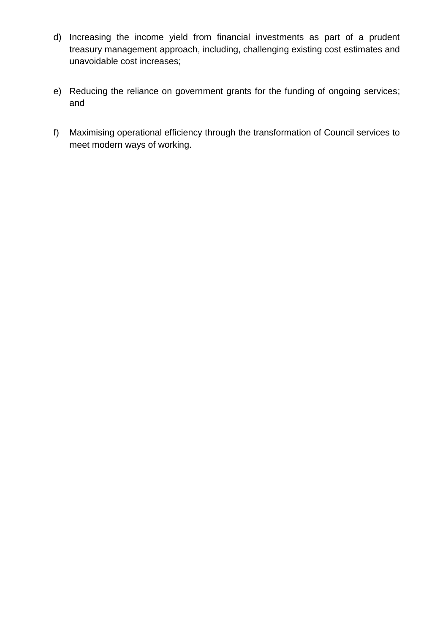- d) Increasing the income yield from financial investments as part of a prudent treasury management approach, including, challenging existing cost estimates and unavoidable cost increases;
- e) Reducing the reliance on government grants for the funding of ongoing services; and
- f) Maximising operational efficiency through the transformation of Council services to meet modern ways of working.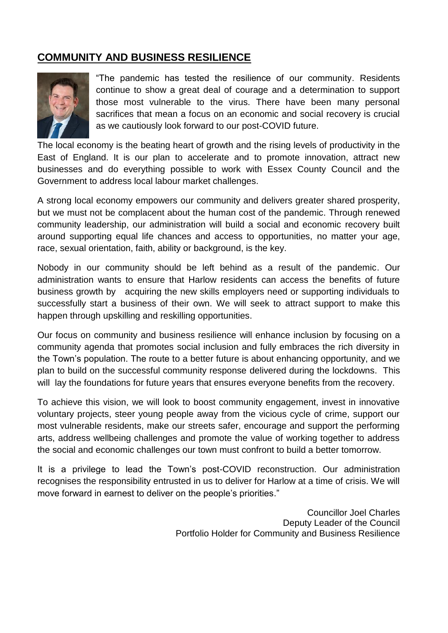# **COMMUNITY AND BUSINESS RESILIENCE**



"The pandemic has tested the resilience of our community. Residents continue to show a great deal of courage and a determination to support those most vulnerable to the virus. There have been many personal sacrifices that mean a focus on an economic and social recovery is crucial as we cautiously look forward to our post-COVID future.

The local economy is the beating heart of growth and the rising levels of productivity in the East of England. It is our plan to accelerate and to promote innovation, attract new businesses and do everything possible to work with Essex County Council and the Government to address local labour market challenges.

A strong local economy empowers our community and delivers greater shared prosperity, but we must not be complacent about the human cost of the pandemic. Through renewed community leadership, our administration will build a social and economic recovery built around supporting equal life chances and access to opportunities, no matter your age, race, sexual orientation, faith, ability or background, is the key.

Nobody in our community should be left behind as a result of the pandemic. Our administration wants to ensure that Harlow residents can access the benefits of future business growth by acquiring the new skills employers need or supporting individuals to successfully start a business of their own. We will seek to attract support to make this happen through upskilling and reskilling opportunities.

Our focus on community and business resilience will enhance inclusion by focusing on a community agenda that promotes social inclusion and fully embraces the rich diversity in the Town's population. The route to a better future is about enhancing opportunity, and we plan to build on the successful community response delivered during the lockdowns. This will lay the foundations for future years that ensures everyone benefits from the recovery.

To achieve this vision, we will look to boost community engagement, invest in innovative voluntary projects, steer young people away from the vicious cycle of crime, support our most vulnerable residents, make our streets safer, encourage and support the performing arts, address wellbeing challenges and promote the value of working together to address the social and economic challenges our town must confront to build a better tomorrow.

It is a privilege to lead the Town's post-COVID reconstruction. Our administration recognises the responsibility entrusted in us to deliver for Harlow at a time of crisis. We will move forward in earnest to deliver on the people's priorities."

> Councillor Joel Charles Deputy Leader of the Council Portfolio Holder for Community and Business Resilience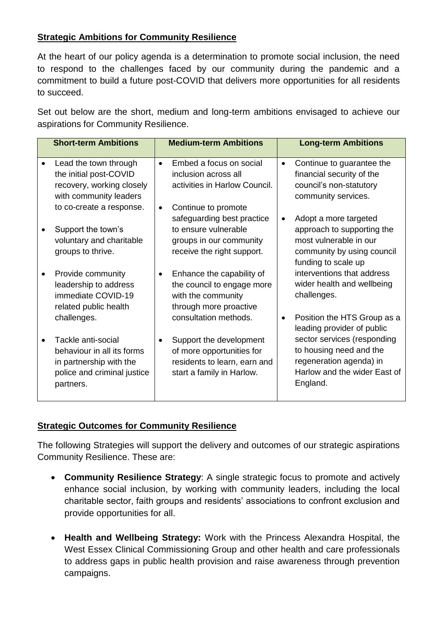## **Strategic Ambitions for Community Resilience**

At the heart of our policy agenda is a determination to promote social inclusion, the need to respond to the challenges faced by our community during the pandemic and a commitment to build a future post-COVID that delivers more opportunities for all residents to succeed.

Set out below are the short, medium and long-term ambitions envisaged to achieve our aspirations for Community Resilience.

| <b>Short-term Ambitions</b>                                                                                             |           | <b>Medium-term Ambitions</b>                                                                                                       |           | <b>Long-term Ambitions</b>                                                                                                                                  |
|-------------------------------------------------------------------------------------------------------------------------|-----------|------------------------------------------------------------------------------------------------------------------------------------|-----------|-------------------------------------------------------------------------------------------------------------------------------------------------------------|
| Lead the town through<br>the initial post-COVID<br>recovery, working closely<br>with community leaders                  | $\bullet$ | Embed a focus on social<br>inclusion across all<br>activities in Harlow Council.                                                   | $\bullet$ | Continue to guarantee the<br>financial security of the<br>council's non-statutory<br>community services.                                                    |
| to co-create a response.<br>Support the town's<br>voluntary and charitable<br>groups to thrive.                         | $\bullet$ | Continue to promote<br>safeguarding best practice<br>to ensure vulnerable<br>groups in our community<br>receive the right support. | ٠         | Adopt a more targeted<br>approach to supporting the<br>most vulnerable in our<br>community by using council<br>funding to scale up                          |
| Provide community<br>leadership to address<br>immediate COVID-19<br>related public health<br>challenges.                | $\bullet$ | Enhance the capability of<br>the council to engage more<br>with the community<br>through more proactive<br>consultation methods.   | ٠         | interventions that address<br>wider health and wellbeing<br>challenges.<br>Position the HTS Group as a                                                      |
| Tackle anti-social<br>behaviour in all its forms<br>in partnership with the<br>police and criminal justice<br>partners. | $\bullet$ | Support the development<br>of more opportunities for<br>residents to learn, earn and<br>start a family in Harlow.                  |           | leading provider of public<br>sector services (responding<br>to housing need and the<br>regeneration agenda) in<br>Harlow and the wider East of<br>England. |

## **Strategic Outcomes for Community Resilience**

The following Strategies will support the delivery and outcomes of our strategic aspirations Community Resilience. These are:

- **Community Resilience Strategy**: A single strategic focus to promote and actively enhance social inclusion, by working with community leaders, including the local charitable sector, faith groups and residents' associations to confront exclusion and provide opportunities for all.
- **Health and Wellbeing Strategy:** Work with the Princess Alexandra Hospital, the West Essex Clinical Commissioning Group and other health and care professionals to address gaps in public health provision and raise awareness through prevention campaigns.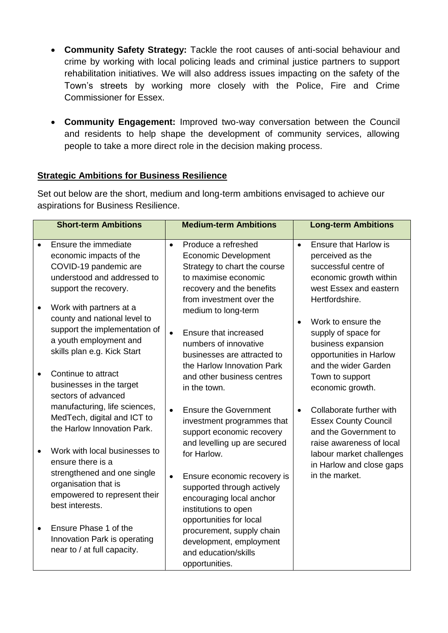- **Community Safety Strategy:** Tackle the root causes of anti-social behaviour and crime by working with local policing leads and criminal justice partners to support rehabilitation initiatives. We will also address issues impacting on the safety of the Town's streets by working more closely with the Police, Fire and Crime Commissioner for Essex.
- **Community Engagement:** Improved two-way conversation between the Council and residents to help shape the development of community services, allowing people to take a more direct role in the decision making process.

## **Strategic Ambitions for Business Resilience**

Set out below are the short, medium and long-term ambitions envisaged to achieve our aspirations for Business Resilience.

|           | <b>Short-term Ambitions</b>                                                                                                                       |           | <b>Medium-term Ambitions</b>                                                                                                                                        |           | <b>Long-term Ambitions</b>                                                                                                                     |
|-----------|---------------------------------------------------------------------------------------------------------------------------------------------------|-----------|---------------------------------------------------------------------------------------------------------------------------------------------------------------------|-----------|------------------------------------------------------------------------------------------------------------------------------------------------|
|           | Ensure the immediate<br>economic impacts of the<br>COVID-19 pandemic are<br>understood and addressed to<br>support the recovery.                  | $\bullet$ | Produce a refreshed<br><b>Economic Development</b><br>Strategy to chart the course<br>to maximise economic<br>recovery and the benefits<br>from investment over the | $\bullet$ | <b>Ensure that Harlow is</b><br>perceived as the<br>successful centre of<br>economic growth within<br>west Essex and eastern<br>Hertfordshire. |
| $\bullet$ | Work with partners at a<br>county and national level to<br>support the implementation of<br>a youth employment and<br>skills plan e.g. Kick Start | $\bullet$ | medium to long-term<br>Ensure that increased<br>numbers of innovative<br>businesses are attracted to<br>the Harlow Innovation Park                                  |           | Work to ensure the<br>supply of space for<br>business expansion<br>opportunities in Harlow<br>and the wider Garden                             |
|           | Continue to attract<br>businesses in the target<br>sectors of advanced                                                                            |           | and other business centres<br>in the town.                                                                                                                          |           | Town to support<br>economic growth.                                                                                                            |
|           | manufacturing, life sciences,<br>MedTech, digital and ICT to<br>the Harlow Innovation Park.                                                       | $\bullet$ | <b>Ensure the Government</b><br>investment programmes that<br>support economic recovery<br>and levelling up are secured                                             | $\bullet$ | Collaborate further with<br><b>Essex County Council</b><br>and the Government to<br>raise awareness of local                                   |
|           | Work with local businesses to<br>ensure there is a<br>strengthened and one single                                                                 | $\bullet$ | for Harlow.                                                                                                                                                         |           | labour market challenges<br>in Harlow and close gaps<br>in the market.                                                                         |
|           | organisation that is<br>empowered to represent their<br>best interests.                                                                           |           | Ensure economic recovery is<br>supported through actively<br>encouraging local anchor<br>institutions to open                                                       |           |                                                                                                                                                |
| $\bullet$ | Ensure Phase 1 of the<br>Innovation Park is operating<br>near to / at full capacity.                                                              |           | opportunities for local<br>procurement, supply chain<br>development, employment<br>and education/skills<br>opportunities.                                           |           |                                                                                                                                                |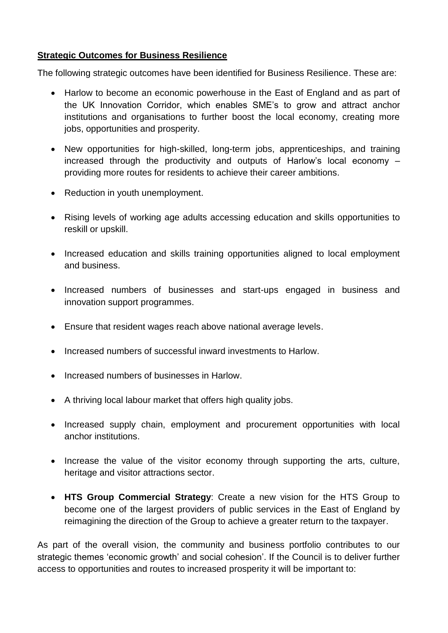## **Strategic Outcomes for Business Resilience**

The following strategic outcomes have been identified for Business Resilience. These are:

- Harlow to become an economic powerhouse in the East of England and as part of the UK Innovation Corridor, which enables SME's to grow and attract anchor institutions and organisations to further boost the local economy, creating more jobs, opportunities and prosperity.
- New opportunities for high-skilled, long-term jobs, apprenticeships, and training increased through the productivity and outputs of Harlow's local economy – providing more routes for residents to achieve their career ambitions.
- Reduction in youth unemployment.
- Rising levels of working age adults accessing education and skills opportunities to reskill or upskill.
- Increased education and skills training opportunities aligned to local employment and business.
- Increased numbers of businesses and start-ups engaged in business and innovation support programmes.
- Ensure that resident wages reach above national average levels.
- Increased numbers of successful inward investments to Harlow.
- Increased numbers of businesses in Harlow.
- A thriving local labour market that offers high quality jobs.
- Increased supply chain, employment and procurement opportunities with local anchor institutions.
- Increase the value of the visitor economy through supporting the arts, culture, heritage and visitor attractions sector.
- **HTS Group Commercial Strategy**: Create a new vision for the HTS Group to become one of the largest providers of public services in the East of England by reimagining the direction of the Group to achieve a greater return to the taxpayer.

As part of the overall vision, the community and business portfolio contributes to our strategic themes 'economic growth' and social cohesion'. If the Council is to deliver further access to opportunities and routes to increased prosperity it will be important to: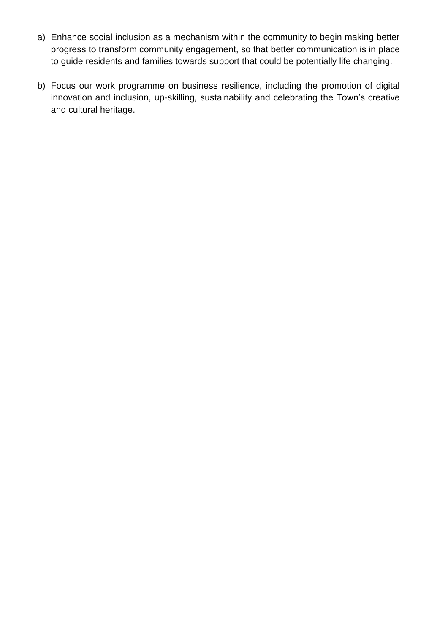- a) Enhance social inclusion as a mechanism within the community to begin making better progress to transform community engagement, so that better communication is in place to guide residents and families towards support that could be potentially life changing.
- b) Focus our work programme on business resilience, including the promotion of digital innovation and inclusion, up-skilling, sustainability and celebrating the Town's creative and cultural heritage.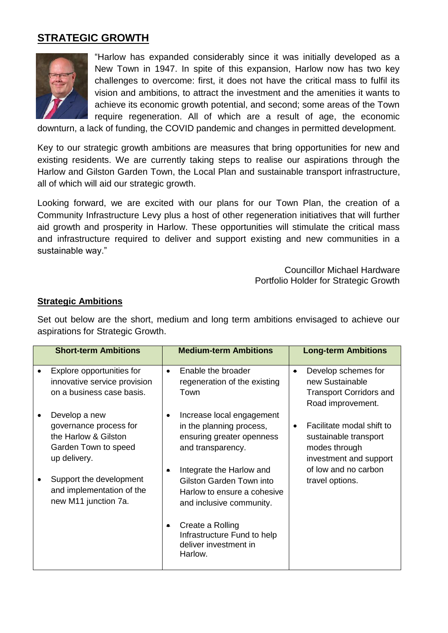# **STRATEGIC GROWTH**



"Harlow has expanded considerably since it was initially developed as a New Town in 1947. In spite of this expansion, Harlow now has two key challenges to overcome: first, it does not have the critical mass to fulfil its vision and ambitions, to attract the investment and the amenities it wants to achieve its economic growth potential, and second; some areas of the Town require regeneration. All of which are a result of age, the economic

downturn, a lack of funding, the COVID pandemic and changes in permitted development.

Key to our strategic growth ambitions are measures that bring opportunities for new and existing residents. We are currently taking steps to realise our aspirations through the Harlow and Gilston Garden Town, the Local Plan and sustainable transport infrastructure, all of which will aid our strategic growth.

Looking forward, we are excited with our plans for our Town Plan, the creation of a Community Infrastructure Levy plus a host of other regeneration initiatives that will further aid growth and prosperity in Harlow. These opportunities will stimulate the critical mass and infrastructure required to deliver and support existing and new communities in a sustainable way."

> Councillor Michael Hardware Portfolio Holder for Strategic Growth

#### **Strategic Ambitions**

Set out below are the short, medium and long term ambitions envisaged to achieve our aspirations for Strategic Growth.

| <b>Short-term Ambitions</b>                                                                             | <b>Medium-term Ambitions</b>                                                                                         | <b>Long-term Ambitions</b>                                                                                 |
|---------------------------------------------------------------------------------------------------------|----------------------------------------------------------------------------------------------------------------------|------------------------------------------------------------------------------------------------------------|
| Explore opportunities for<br>innovative service provision<br>on a business case basis.                  | Enable the broader<br>$\bullet$<br>regeneration of the existing<br>Town                                              | Develop schemes for<br>$\bullet$<br>new Sustainable<br><b>Transport Corridors and</b><br>Road improvement. |
| Develop a new<br>governance process for<br>the Harlow & Gilston<br>Garden Town to speed<br>up delivery. | Increase local engagement<br>$\bullet$<br>in the planning process,<br>ensuring greater openness<br>and transparency. | Facilitate modal shift to<br>sustainable transport<br>modes through<br>investment and support              |
| Support the development<br>and implementation of the<br>new M11 junction 7a.                            | Integrate the Harlow and<br>Gilston Garden Town into<br>Harlow to ensure a cohesive<br>and inclusive community.      | of low and no carbon<br>travel options.                                                                    |
|                                                                                                         | Create a Rolling<br>Infrastructure Fund to help<br>deliver investment in<br>Harlow.                                  |                                                                                                            |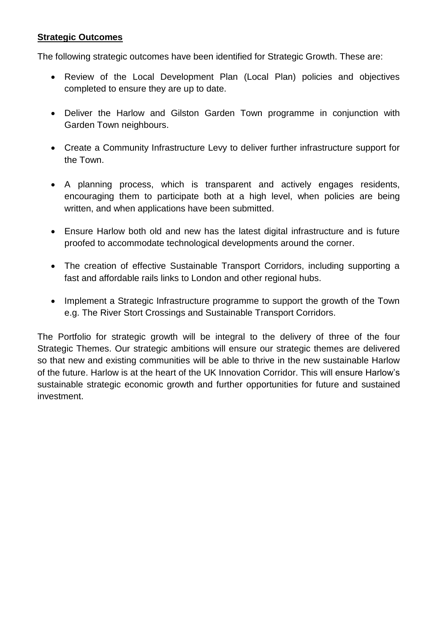The following strategic outcomes have been identified for Strategic Growth. These are:

- Review of the Local Development Plan (Local Plan) policies and objectives completed to ensure they are up to date.
- Deliver the Harlow and Gilston Garden Town programme in conjunction with Garden Town neighbours.
- Create a Community Infrastructure Levy to deliver further infrastructure support for the Town.
- A planning process, which is transparent and actively engages residents, encouraging them to participate both at a high level, when policies are being written, and when applications have been submitted.
- Ensure Harlow both old and new has the latest digital infrastructure and is future proofed to accommodate technological developments around the corner.
- The creation of effective Sustainable Transport Corridors, including supporting a fast and affordable rails links to London and other regional hubs.
- Implement a Strategic Infrastructure programme to support the growth of the Town e.g. The River Stort Crossings and Sustainable Transport Corridors.

The Portfolio for strategic growth will be integral to the delivery of three of the four Strategic Themes. Our strategic ambitions will ensure our strategic themes are delivered so that new and existing communities will be able to thrive in the new sustainable Harlow of the future. Harlow is at the heart of the UK Innovation Corridor. This will ensure Harlow's sustainable strategic economic growth and further opportunities for future and sustained investment.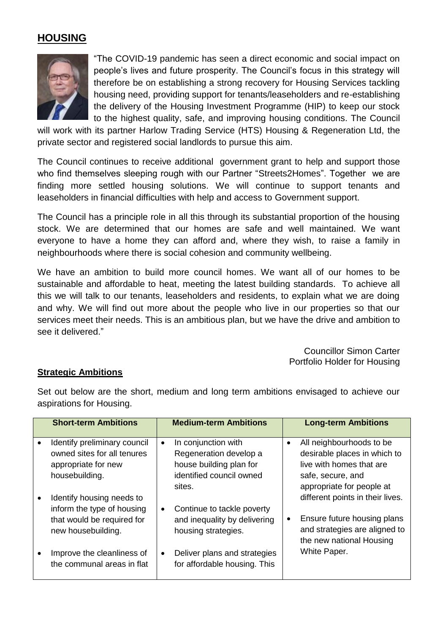# **HOUSING**



"The COVID-19 pandemic has seen a direct economic and social impact on people's lives and future prosperity. The Council's focus in this strategy will therefore be on establishing a strong recovery for Housing Services tackling housing need, providing support for tenants/leaseholders and re-establishing the delivery of the Housing Investment Programme (HIP) to keep our stock to the highest quality, safe, and improving housing conditions. The Council

will work with its partner Harlow Trading Service (HTS) Housing & Regeneration Ltd, the private sector and registered social landlords to pursue this aim.

The Council continues to receive additional government grant to help and support those who find themselves sleeping rough with our Partner "Streets2Homes". Together we are finding more settled housing solutions. We will continue to support tenants and leaseholders in financial difficulties with help and access to Government support.

The Council has a principle role in all this through its substantial proportion of the housing stock. We are determined that our homes are safe and well maintained. We want everyone to have a home they can afford and, where they wish, to raise a family in neighbourhoods where there is social cohesion and community wellbeing.

We have an ambition to build more council homes. We want all of our homes to be sustainable and affordable to heat, meeting the latest building standards. To achieve all this we will talk to our tenants, leaseholders and residents, to explain what we are doing and why. We will find out more about the people who live in our properties so that our services meet their needs. This is an ambitious plan, but we have the drive and ambition to see it delivered."

> Councillor Simon Carter Portfolio Holder for Housing

#### **Strategic Ambitions**

Set out below are the short, medium and long term ambitions envisaged to achieve our aspirations for Housing.

| <b>Short-term Ambitions</b>                                                                                 |           | <b>Medium-term Ambitions</b>                                                                                   |           | <b>Long-term Ambitions</b>                                                                                                             |
|-------------------------------------------------------------------------------------------------------------|-----------|----------------------------------------------------------------------------------------------------------------|-----------|----------------------------------------------------------------------------------------------------------------------------------------|
| Identify preliminary council<br>owned sites for all tenures<br>appropriate for new<br>housebuilding.        | $\bullet$ | In conjunction with<br>Regeneration develop a<br>house building plan for<br>identified council owned<br>sites. | $\bullet$ | All neighbourhoods to be<br>desirable places in which to<br>live with homes that are<br>safe, secure, and<br>appropriate for people at |
| Identify housing needs to<br>inform the type of housing<br>that would be required for<br>new housebuilding. | $\bullet$ | Continue to tackle poverty<br>and inequality by delivering<br>housing strategies.                              | $\bullet$ | different points in their lives.<br>Ensure future housing plans<br>and strategies are aligned to<br>the new national Housing           |
| Improve the cleanliness of<br>the communal areas in flat                                                    | $\bullet$ | Deliver plans and strategies<br>for affordable housing. This                                                   |           | White Paper.                                                                                                                           |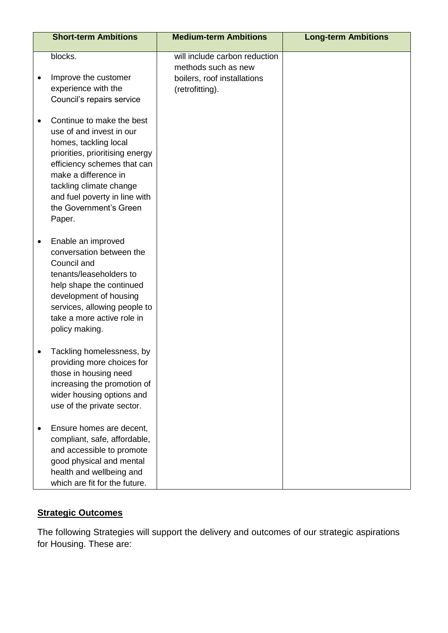| <b>Short-term Ambitions</b>                                                                                                                                                                                                                                              | <b>Medium-term Ambitions</b>                                                                           | <b>Long-term Ambitions</b> |
|--------------------------------------------------------------------------------------------------------------------------------------------------------------------------------------------------------------------------------------------------------------------------|--------------------------------------------------------------------------------------------------------|----------------------------|
| blocks.<br>Improve the customer<br>experience with the<br>Council's repairs service                                                                                                                                                                                      | will include carbon reduction<br>methods such as new<br>boilers, roof installations<br>(retrofitting). |                            |
| Continue to make the best<br>use of and invest in our<br>homes, tackling local<br>priorities, prioritising energy<br>efficiency schemes that can<br>make a difference in<br>tackling climate change<br>and fuel poverty in line with<br>the Government's Green<br>Paper. |                                                                                                        |                            |
| Enable an improved<br>conversation between the<br>Council and<br>tenants/leaseholders to<br>help shape the continued<br>development of housing<br>services, allowing people to<br>take a more active role in<br>policy making.                                           |                                                                                                        |                            |
| Tackling homelessness, by<br>providing more choices for<br>those in housing need<br>increasing the promotion of<br>wider housing options and<br>use of the private sector.                                                                                               |                                                                                                        |                            |
| Ensure homes are decent,<br>compliant, safe, affordable,<br>and accessible to promote<br>good physical and mental<br>health and wellbeing and<br>which are fit for the future.                                                                                           |                                                                                                        |                            |

The following Strategies will support the delivery and outcomes of our strategic aspirations for Housing. These are: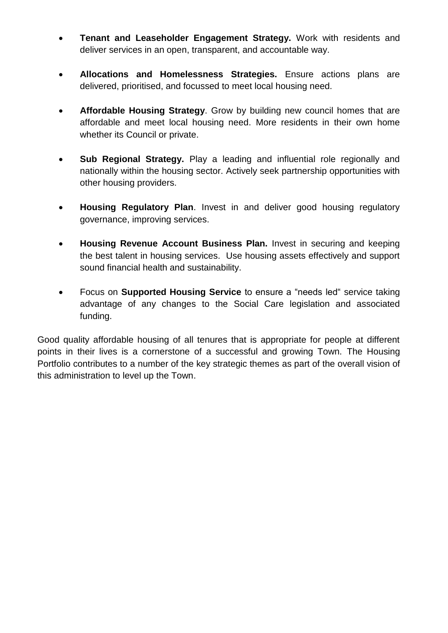- **Tenant and Leaseholder Engagement Strategy.** Work with residents and deliver services in an open, transparent, and accountable way.
- **Allocations and Homelessness Strategies.** Ensure actions plans are delivered, prioritised, and focussed to meet local housing need.
- **Affordable Housing Strategy**. Grow by building new council homes that are affordable and meet local housing need. More residents in their own home whether its Council or private.
- **Sub Regional Strategy.** Play a leading and influential role regionally and nationally within the housing sector. Actively seek partnership opportunities with other housing providers.
- **Housing Regulatory Plan**. Invest in and deliver good housing regulatory governance, improving services.
- **Housing Revenue Account Business Plan.** Invest in securing and keeping the best talent in housing services. Use housing assets effectively and support sound financial health and sustainability.
- Focus on **Supported Housing Service** to ensure a "needs led" service taking advantage of any changes to the Social Care legislation and associated funding.

Good quality affordable housing of all tenures that is appropriate for people at different points in their lives is a cornerstone of a successful and growing Town. The Housing Portfolio contributes to a number of the key strategic themes as part of the overall vision of this administration to level up the Town.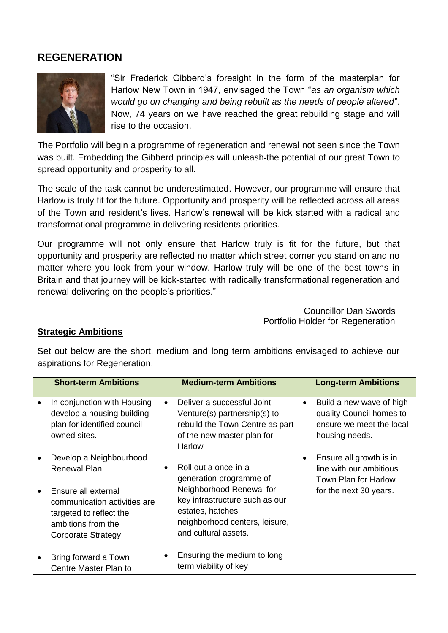## **REGENERATION**



"Sir Frederick Gibberd's foresight in the form of the masterplan for Harlow New Town in 1947, envisaged the Town "*as an organism which would go on changing and being rebuilt as the needs of people altered*". Now, 74 years on we have reached the great rebuilding stage and will rise to the occasion.

The Portfolio will begin a programme of regeneration and renewal not seen since the Town was built. Embedding the Gibberd principles will unleash the potential of our great Town to spread opportunity and prosperity to all.

The scale of the task cannot be underestimated. However, our programme will ensure that Harlow is truly fit for the future. Opportunity and prosperity will be reflected across all areas of the Town and resident's lives. Harlow's renewal will be kick started with a radical and transformational programme in delivering residents priorities.

Our programme will not only ensure that Harlow truly is fit for the future, but that opportunity and prosperity are reflected no matter which street corner you stand on and no matter where you look from your window. Harlow truly will be one of the best towns in Britain and that journey will be kick-started with radically transformational regeneration and renewal delivering on the people's priorities."

> Councillor Dan Swords Portfolio Holder for Regeneration

#### **Strategic Ambitions**

Set out below are the short, medium and long term ambitions envisaged to achieve our aspirations for Regeneration.

| <b>Short-term Ambitions</b>                                                                                                 |           | <b>Medium-term Ambitions</b>                                                                                                              |           | <b>Long-term Ambitions</b>                                                                          |
|-----------------------------------------------------------------------------------------------------------------------------|-----------|-------------------------------------------------------------------------------------------------------------------------------------------|-----------|-----------------------------------------------------------------------------------------------------|
| In conjunction with Housing<br>develop a housing building<br>plan for identified council<br>owned sites.                    | $\bullet$ | Deliver a successful Joint<br>Venture(s) partnership(s) to<br>rebuild the Town Centre as part<br>of the new master plan for<br>Harlow     | $\bullet$ | Build a new wave of high-<br>quality Council homes to<br>ensure we meet the local<br>housing needs. |
| Develop a Neighbourhood<br>Renewal Plan.                                                                                    | $\bullet$ | Roll out a once-in-a-<br>generation programme of                                                                                          |           | Ensure all growth is in<br>line with our ambitious<br>Town Plan for Harlow                          |
| Ensure all external<br>communication activities are<br>targeted to reflect the<br>ambitions from the<br>Corporate Strategy. |           | Neighborhood Renewal for<br>key infrastructure such as our<br>estates, hatches,<br>neighborhood centers, leisure,<br>and cultural assets. |           | for the next 30 years.                                                                              |
| Bring forward a Town<br>Centre Master Plan to                                                                               | ٠         | Ensuring the medium to long<br>term viability of key                                                                                      |           |                                                                                                     |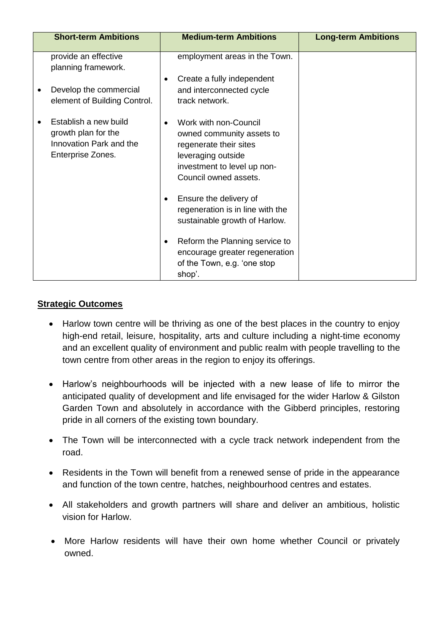| <b>Short-term Ambitions</b>                                                                  | <b>Medium-term Ambitions</b>                                                                                                                               | <b>Long-term Ambitions</b> |
|----------------------------------------------------------------------------------------------|------------------------------------------------------------------------------------------------------------------------------------------------------------|----------------------------|
| provide an effective<br>planning framework.                                                  | employment areas in the Town.                                                                                                                              |                            |
| Develop the commercial<br>element of Building Control.                                       | Create a fully independent<br>$\bullet$<br>and interconnected cycle<br>track network.                                                                      |                            |
| Establish a new build<br>growth plan for the<br>Innovation Park and the<br>Enterprise Zones. | Work with non-Council<br>owned community assets to<br>regenerate their sites<br>leveraging outside<br>investment to level up non-<br>Council owned assets. |                            |
|                                                                                              | Ensure the delivery of<br>$\bullet$<br>regeneration is in line with the<br>sustainable growth of Harlow.                                                   |                            |
|                                                                                              | Reform the Planning service to<br>٠<br>encourage greater regeneration<br>of the Town, e.g. 'one stop<br>shop'.                                             |                            |

- Harlow town centre will be thriving as one of the best places in the country to enjoy high-end retail, leisure, hospitality, arts and culture including a night-time economy and an excellent quality of environment and public realm with people travelling to the town centre from other areas in the region to enjoy its offerings.
- Harlow's neighbourhoods will be injected with a new lease of life to mirror the anticipated quality of development and life envisaged for the wider Harlow & Gilston Garden Town and absolutely in accordance with the Gibberd principles, restoring pride in all corners of the existing town boundary.
- The Town will be interconnected with a cycle track network independent from the road.
- Residents in the Town will benefit from a renewed sense of pride in the appearance and function of the town centre, hatches, neighbourhood centres and estates.
- All stakeholders and growth partners will share and deliver an ambitious, holistic vision for Harlow.
- More Harlow residents will have their own home whether Council or privately owned.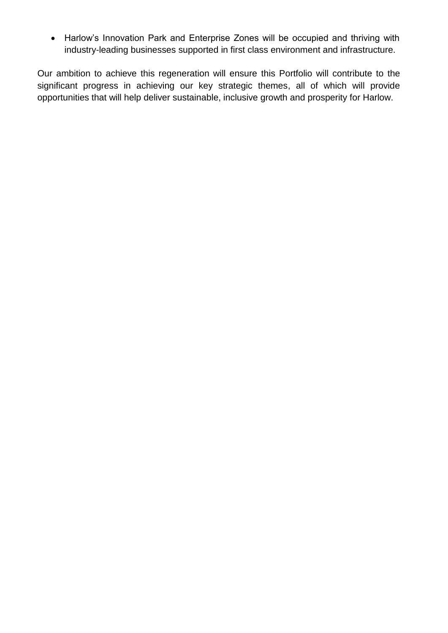Harlow's Innovation Park and Enterprise Zones will be occupied and thriving with industry-leading businesses supported in first class environment and infrastructure.

Our ambition to achieve this regeneration will ensure this Portfolio will contribute to the significant progress in achieving our key strategic themes, all of which will provide opportunities that will help deliver sustainable, inclusive growth and prosperity for Harlow.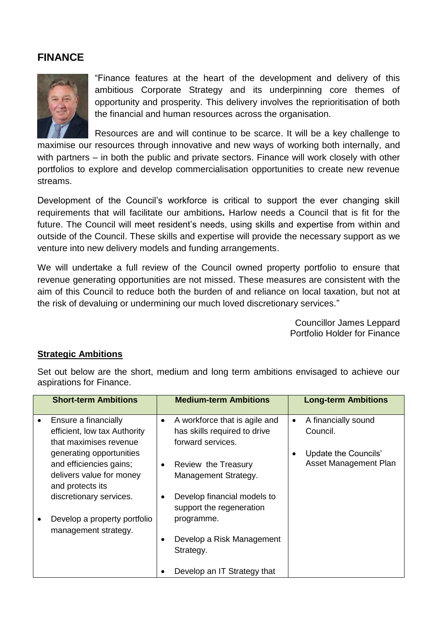## **FINANCE**



"Finance features at the heart of the development and delivery of this ambitious Corporate Strategy and its underpinning core themes of opportunity and prosperity. This delivery involves the reprioritisation of both the financial and human resources across the organisation.

Resources are and will continue to be scarce. It will be a key challenge to maximise our resources through innovative and new ways of working both internally, and with partners – in both the public and private sectors. Finance will work closely with other portfolios to explore and develop commercialisation opportunities to create new revenue streams.

Development of the Council's workforce is critical to support the ever changing skill requirements that will facilitate our ambitions**.** Harlow needs a Council that is fit for the future. The Council will meet resident's needs, using skills and expertise from within and outside of the Council. These skills and expertise will provide the necessary support as we venture into new delivery models and funding arrangements.

We will undertake a full review of the Council owned property portfolio to ensure that revenue generating opportunities are not missed. These measures are consistent with the aim of this Council to reduce both the burden of and reliance on local taxation, but not at the risk of devaluing or undermining our much loved discretionary services."

> Councillor James Leppard Portfolio Holder for Finance

#### **Strategic Ambitions**

Set out below are the short, medium and long term ambitions envisaged to achieve our aspirations for Finance.

| <b>Short-term Ambitions</b>                                                                         |           | <b>Medium-term Ambitions</b>                                                       |           | <b>Long-term Ambitions</b>                    |
|-----------------------------------------------------------------------------------------------------|-----------|------------------------------------------------------------------------------------|-----------|-----------------------------------------------|
| Ensure a financially<br>efficient, low tax Authority<br>that maximises revenue                      | $\bullet$ | A workforce that is agile and<br>has skills required to drive<br>forward services. | $\bullet$ | A financially sound<br>Council.               |
| generating opportunities<br>and efficiencies gains;<br>delivers value for money<br>and protects its | $\bullet$ | Review the Treasury<br>Management Strategy.                                        | $\bullet$ | Update the Councils'<br>Asset Management Plan |
| discretionary services.                                                                             | ٠         | Develop financial models to<br>support the regeneration                            |           |                                               |
| Develop a property portfolio<br>management strategy.                                                | $\bullet$ | programme.<br>Develop a Risk Management<br>Strategy.                               |           |                                               |
|                                                                                                     |           | Develop an IT Strategy that                                                        |           |                                               |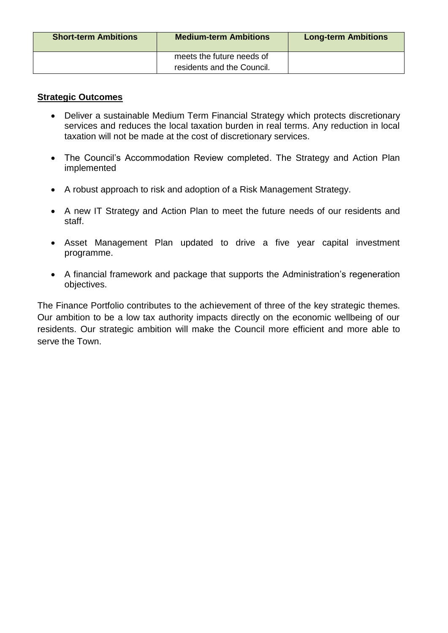| <b>Short-term Ambitions</b> | <b>Medium-term Ambitions</b>                            | <b>Long-term Ambitions</b> |
|-----------------------------|---------------------------------------------------------|----------------------------|
|                             | meets the future needs of<br>residents and the Council. |                            |

- Deliver a sustainable Medium Term Financial Strategy which protects discretionary services and reduces the local taxation burden in real terms. Any reduction in local taxation will not be made at the cost of discretionary services.
- The Council's Accommodation Review completed. The Strategy and Action Plan implemented
- A robust approach to risk and adoption of a Risk Management Strategy.
- A new IT Strategy and Action Plan to meet the future needs of our residents and staff.
- Asset Management Plan updated to drive a five year capital investment programme.
- A financial framework and package that supports the Administration's regeneration objectives.

The Finance Portfolio contributes to the achievement of three of the key strategic themes. Our ambition to be a low tax authority impacts directly on the economic wellbeing of our residents. Our strategic ambition will make the Council more efficient and more able to serve the Town.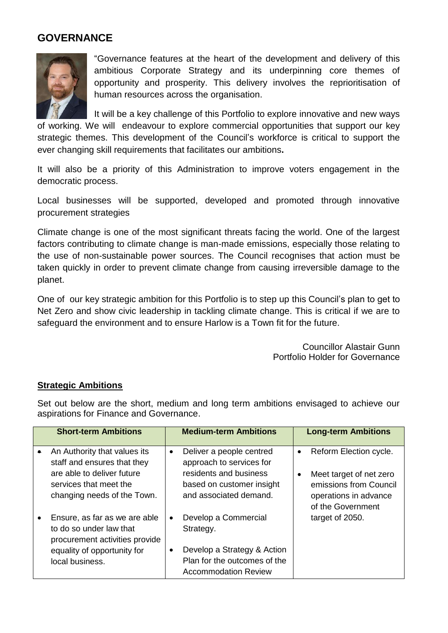## **GOVERNANCE**



"Governance features at the heart of the development and delivery of this ambitious Corporate Strategy and its underpinning core themes of opportunity and prosperity. This delivery involves the reprioritisation of human resources across the organisation.

It will be a key challenge of this Portfolio to explore innovative and new ways of working. We will endeavour to explore commercial opportunities that support our key strategic themes. This development of the Council's workforce is critical to support the ever changing skill requirements that facilitates our ambitions**.** 

It will also be a priority of this Administration to improve voters engagement in the democratic process.

Local businesses will be supported, developed and promoted through innovative procurement strategies

Climate change is one of the most significant threats facing the world. One of the largest factors contributing to climate change is man-made emissions, especially those relating to the use of non-sustainable power sources. The Council recognises that action must be taken quickly in order to prevent climate change from causing irreversible damage to the planet.

One of our key strategic ambition for this Portfolio is to step up this Council's plan to get to Net Zero and show civic leadership in tackling climate change. This is critical if we are to safeguard the environment and to ensure Harlow is a Town fit for the future.

> Councillor Alastair Gunn Portfolio Holder for Governance

## **Strategic Ambitions**

Set out below are the short, medium and long term ambitions envisaged to achieve our aspirations for Finance and Governance.

| <b>Short-term Ambitions</b>                                                                                                                        |           | <b>Medium-term Ambitions</b>                                                                                                          |                        | <b>Long-term Ambitions</b>                                                                                                |
|----------------------------------------------------------------------------------------------------------------------------------------------------|-----------|---------------------------------------------------------------------------------------------------------------------------------------|------------------------|---------------------------------------------------------------------------------------------------------------------------|
| An Authority that values its<br>staff and ensures that they<br>are able to deliver future<br>services that meet the<br>changing needs of the Town. | $\bullet$ | Deliver a people centred<br>approach to services for<br>residents and business<br>based on customer insight<br>and associated demand. | $\bullet$<br>$\bullet$ | Reform Election cycle.<br>Meet target of net zero<br>emissions from Council<br>operations in advance<br>of the Government |
| Ensure, as far as we are able<br>to do so under law that<br>procurement activities provide<br>equality of opportunity for<br>local business.       |           | Develop a Commercial<br>Strategy.<br>Develop a Strategy & Action<br>Plan for the outcomes of the<br><b>Accommodation Review</b>       |                        | target of 2050.                                                                                                           |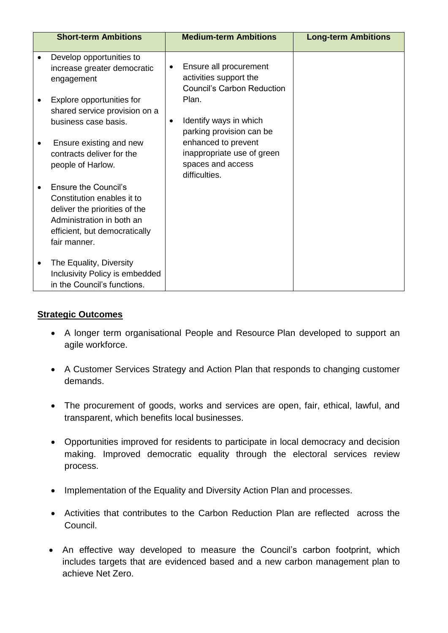|   | <b>Short-term Ambitions</b>                                                                                                                                              |   | <b>Medium-term Ambitions</b>                                                            | <b>Long-term Ambitions</b> |
|---|--------------------------------------------------------------------------------------------------------------------------------------------------------------------------|---|-----------------------------------------------------------------------------------------|----------------------------|
| ٠ | Develop opportunities to<br>increase greater democratic<br>engagement                                                                                                    | ٠ | Ensure all procurement<br>activities support the<br>Council's Carbon Reduction          |                            |
|   | Explore opportunities for<br>shared service provision on a<br>business case basis.                                                                                       | ٠ | Plan.<br>Identify ways in which<br>parking provision can be                             |                            |
|   | Ensure existing and new<br>contracts deliver for the<br>people of Harlow.                                                                                                |   | enhanced to prevent<br>inappropriate use of green<br>spaces and access<br>difficulties. |                            |
|   | <b>Ensure the Council's</b><br>Constitution enables it to<br>deliver the priorities of the<br>Administration in both an<br>efficient, but democratically<br>fair manner. |   |                                                                                         |                            |
| ٠ | The Equality, Diversity<br>Inclusivity Policy is embedded<br>in the Council's functions.                                                                                 |   |                                                                                         |                            |

- A longer term organisational People and Resource Plan developed to support an agile workforce.
- A Customer Services Strategy and Action Plan that responds to changing customer demands.
- The procurement of goods, works and services are open, fair, ethical, lawful, and transparent, which benefits local businesses.
- Opportunities improved for residents to participate in local democracy and decision making. Improved democratic equality through the electoral services review process.
- Implementation of the Equality and Diversity Action Plan and processes.
- Activities that contributes to the Carbon Reduction Plan are reflected across the Council.
- An effective way developed to measure the Council's carbon footprint, which includes targets that are evidenced based and a new carbon management plan to achieve Net Zero.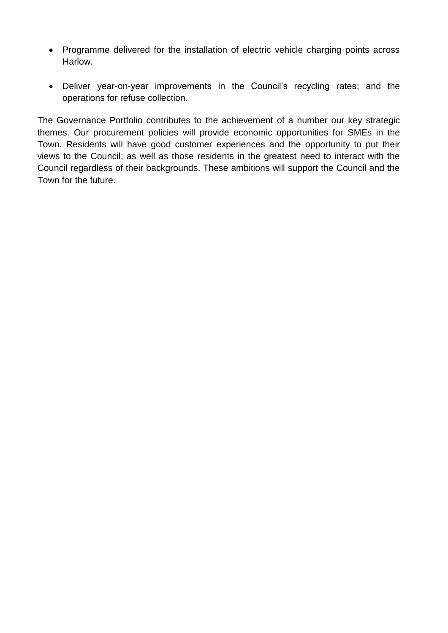- Programme delivered for the installation of electric vehicle charging points across Harlow.
- Deliver year-on-year improvements in the Council's recycling rates; and the operations for refuse collection.

The Governance Portfolio contributes to the achievement of a number our key strategic themes. Our procurement policies will provide economic opportunities for SMEs in the Town. Residents will have good customer experiences and the opportunity to put their views to the Council; as well as those residents in the greatest need to interact with the Council regardless of their backgrounds. These ambitions will support the Council and the Town for the future.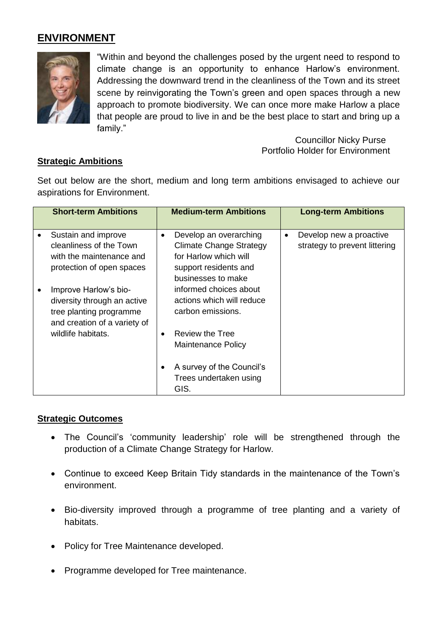# **ENVIRONMENT**



"Within and beyond the challenges posed by the urgent need to respond to climate change is an opportunity to enhance Harlow's environment. Addressing the downward trend in the cleanliness of the Town and its street scene by reinvigorating the Town's green and open spaces through a new approach to promote biodiversity. We can once more make Harlow a place that people are proud to live in and be the best place to start and bring up a family."

> Councillor Nicky Purse Portfolio Holder for Environment

## **Strategic Ambitions**

Set out below are the short, medium and long term ambitions envisaged to achieve our aspirations for Environment.

| <b>Short-term Ambitions</b>                                                                                     | <b>Medium-term Ambitions</b>                                                                                                                  | <b>Long-term Ambitions</b>                                            |
|-----------------------------------------------------------------------------------------------------------------|-----------------------------------------------------------------------------------------------------------------------------------------------|-----------------------------------------------------------------------|
| Sustain and improve<br>cleanliness of the Town<br>with the maintenance and<br>protection of open spaces         | Develop an overarching<br>$\bullet$<br><b>Climate Change Strategy</b><br>for Harlow which will<br>support residents and<br>businesses to make | Develop new a proactive<br>$\bullet$<br>strategy to prevent littering |
| Improve Harlow's bio-<br>diversity through an active<br>tree planting programme<br>and creation of a variety of | informed choices about<br>actions which will reduce<br>carbon emissions.                                                                      |                                                                       |
| wildlife habitats.                                                                                              | <b>Review the Tree</b><br>$\bullet$<br><b>Maintenance Policy</b>                                                                              |                                                                       |
|                                                                                                                 | A survey of the Council's<br>Trees undertaken using<br>GIS.                                                                                   |                                                                       |

## **Strategic Outcomes**

- The Council's 'community leadership' role will be strengthened through the production of a Climate Change Strategy for Harlow.
- Continue to exceed Keep Britain Tidy standards in the maintenance of the Town's environment.
- Bio-diversity improved through a programme of tree planting and a variety of habitats.
- Policy for Tree Maintenance developed.
- Programme developed for Tree maintenance.